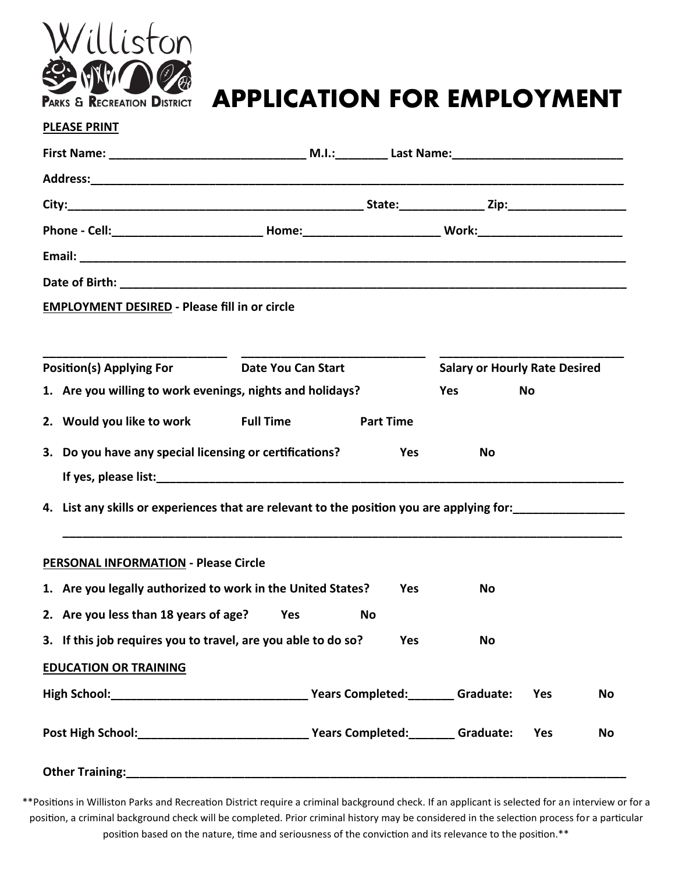

# **APPLICATION FOR EMPLOYMENT**

### **PLEASE PRINT**

| <b>EMPLOYMENT DESIRED - Please fill in or circle</b>                                      |     |                                      |           |     |    |  |
|-------------------------------------------------------------------------------------------|-----|--------------------------------------|-----------|-----|----|--|
|                                                                                           |     |                                      |           |     |    |  |
| <b>Position(s) Applying For</b><br><b>Date You Can Start</b>                              |     | <b>Salary or Hourly Rate Desired</b> |           |     |    |  |
| 1. Are you willing to work evenings, nights and holidays?                                 |     | Yes                                  | <b>No</b> |     |    |  |
| 2. Would you like to work Full Time                                                       |     | <b>Part Time</b>                     |           |     |    |  |
| 3. Do you have any special licensing or certifications?<br><b>Yes</b><br>No               |     |                                      |           |     |    |  |
|                                                                                           |     |                                      |           |     |    |  |
| 4. List any skills or experiences that are relevant to the position you are applying for: |     |                                      |           |     |    |  |
|                                                                                           |     |                                      |           |     |    |  |
| <b>PERSONAL INFORMATION - Please Circle</b>                                               |     |                                      |           |     |    |  |
| 1. Are you legally authorized to work in the United States?                               | Yes | No                                   |           |     |    |  |
| 2. Are you less than 18 years of age?<br><b>Parage Yes</b><br>No                          |     |                                      |           |     |    |  |
| 3. If this job requires you to travel, are you able to do so? Yes No                      |     |                                      |           |     |    |  |
| <b>EDUCATION OR TRAINING</b>                                                              |     |                                      |           |     |    |  |
|                                                                                           |     |                                      |           | Yes | No |  |
|                                                                                           |     |                                      |           | Yes | No |  |
|                                                                                           |     |                                      |           |     |    |  |

\*\*Positions in Williston Parks and Recreation District require a criminal background check. If an applicant is selected for an interview or for a position, a criminal background check will be completed. Prior criminal history may be considered in the selection process for a particular position based on the nature, time and seriousness of the conviction and its relevance to the position.\*\*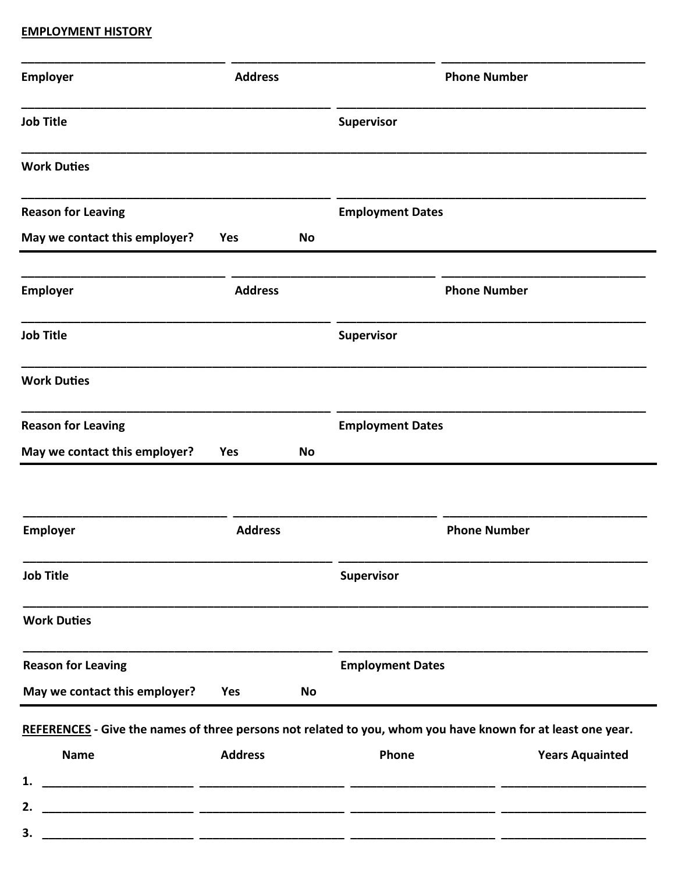# **EMPLOYMENT HISTORY**

| <b>Employer</b>                                            | <b>Address</b> |    |                         | <b>Phone Number</b>                                                                                         |
|------------------------------------------------------------|----------------|----|-------------------------|-------------------------------------------------------------------------------------------------------------|
| <b>Job Title</b>                                           |                |    | Supervisor              |                                                                                                             |
| <b>Work Duties</b>                                         |                |    |                         |                                                                                                             |
| <b>Reason for Leaving</b>                                  |                |    | <b>Employment Dates</b> |                                                                                                             |
| May we contact this employer?                              | Yes            | No |                         |                                                                                                             |
| <b>Employer</b>                                            | <b>Address</b> |    |                         | <b>Phone Number</b>                                                                                         |
| <b>Job Title</b>                                           |                |    | Supervisor              |                                                                                                             |
| <b>Work Duties</b>                                         |                |    |                         |                                                                                                             |
| <b>Reason for Leaving</b><br>May we contact this employer? | Yes            | No | <b>Employment Dates</b> |                                                                                                             |
| <b>Employer</b>                                            | <b>Address</b> |    |                         | <b>Phone Number</b>                                                                                         |
| <b>Job Title</b>                                           |                |    | Supervisor              |                                                                                                             |
| <b>Work Duties</b>                                         |                |    |                         |                                                                                                             |
| <b>Reason for Leaving</b>                                  |                |    | <b>Employment Dates</b> |                                                                                                             |
| May we contact this employer?                              | Yes            | No |                         |                                                                                                             |
|                                                            |                |    |                         | REFERENCES - Give the names of three persons not related to you, whom you have known for at least one year. |
| <b>Name</b>                                                | <b>Address</b> |    | Phone                   | <b>Years Aquainted</b>                                                                                      |
| 1.                                                         |                |    |                         |                                                                                                             |
| 2.                                                         |                |    |                         |                                                                                                             |
|                                                            |                |    |                         |                                                                                                             |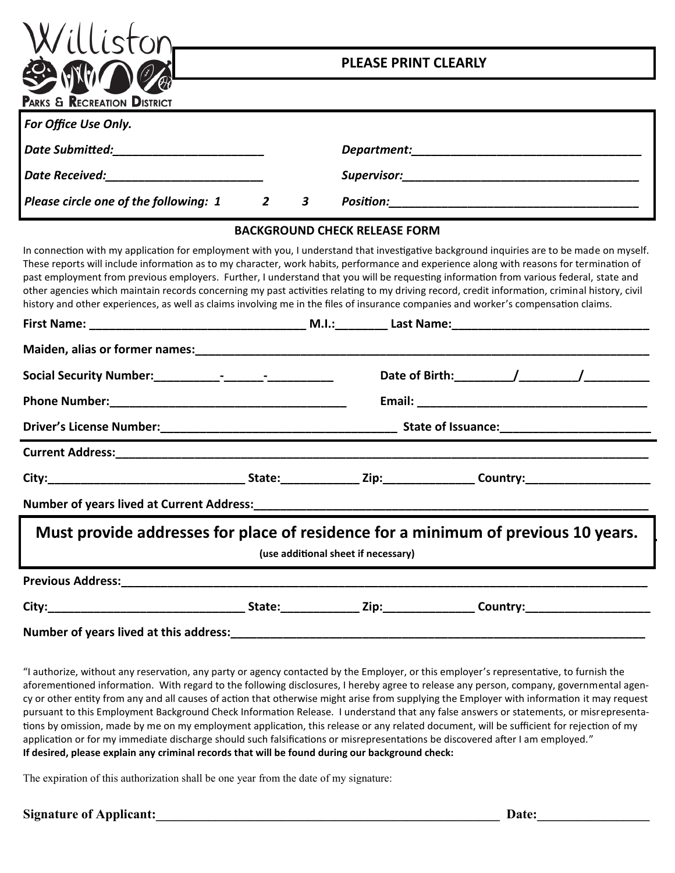

## **PLEASE PRINT CLEARLY**

| <b>For Office Use Only.</b>           |         |  |                                                                                                                                                                                                                                    |  |  |
|---------------------------------------|---------|--|------------------------------------------------------------------------------------------------------------------------------------------------------------------------------------------------------------------------------------|--|--|
| <b>Date Submitted:</b>                |         |  | <b>Department:</b> the contract of the contract of the contract of the contract of the contract of the contract of the contract of the contract of the contract of the contract of the contract of the contract of the contract of |  |  |
| <b>Date Received: Example 2018</b>    |         |  | <b>Supervisor:</b> Supervisor:                                                                                                                                                                                                     |  |  |
| Please circle one of the following: 1 | $2 \t3$ |  | Position:                                                                                                                                                                                                                          |  |  |
| BA AILABALINIB ALIPAILBELEA AF FABRA  |         |  |                                                                                                                                                                                                                                    |  |  |

#### **BACKGROUND CHECK RELEASE FORM**

In connection with my application for employment with you, I understand that investigative background inquiries are to be made on myself. These reports will include information as to my character, work habits, performance and experience along with reasons for termination of past employment from previous employers. Further, I understand that you will be requesting information from various federal, state and other agencies which maintain records concerning my past activities relating to my driving record, credit information, criminal history, civil history and other experiences, as well as claims involving me in the files of insurance companies and worker's compensation claims.

| Must provide addresses for place of residence for a minimum of previous 10 years. |  | (use additional sheet if necessary) |  |  |  |
|-----------------------------------------------------------------------------------|--|-------------------------------------|--|--|--|
|                                                                                   |  |                                     |  |  |  |
|                                                                                   |  |                                     |  |  |  |
| Number of years lived at this address:                                            |  |                                     |  |  |  |

"I authorize, without any reservation, any party or agency contacted by the Employer, or this employer's representative, to furnish the aforementioned information. With regard to the following disclosures, I hereby agree to release any person, company, governmental agency or other entity from any and all causes of action that otherwise might arise from supplying the Employer with information it may request pursuant to this Employment Background Check Information Release. I understand that any false answers or statements, or misrepresentations by omission, made by me on my employment application, this release or any related document, will be sufficient for rejection of my application or for my immediate discharge should such falsifications or misrepresentations be discovered after I am employed." **If desired, please explain any criminal records that will be found during our background check:**

The expiration of this authorization shall be one year from the date of my signature:

#### **Signature of Applicant:** Date: